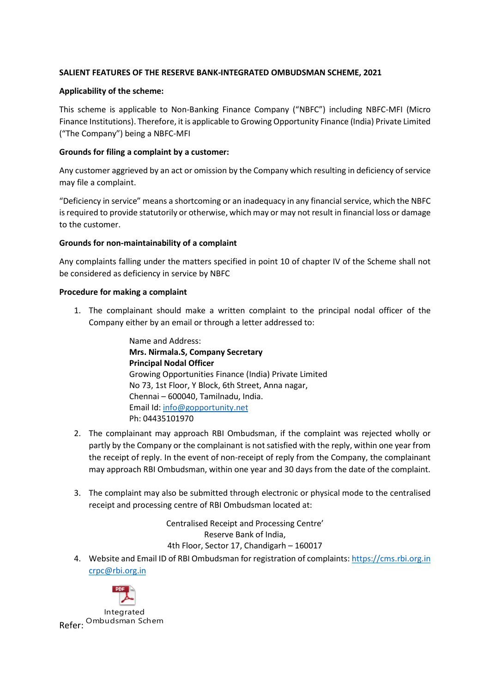# SALIENT FEATURES OF THE RESERVE BANK-INTEGRATED OMBUDSMAN SCHEME, 2021

#### Applicability of the scheme:

This scheme is applicable to Non-Banking Finance Company ("NBFC") including NBFC-MFI (Micro Finance Institutions). Therefore, it is applicable to Growing Opportunity Finance (India) Private Limited ("The Company") being a NBFC-MFI

# Grounds for filing a complaint by a customer:

Any customer aggrieved by an act or omission by the Company which resulting in deficiency of service may file a complaint.

"Deficiency in service" means a shortcoming or an inadequacy in any financial service, which the NBFC is required to provide statutorily or otherwise, which may or may not result in financial loss or damage to the customer.

### Grounds for non-maintainability of a complaint

Any complaints falling under the matters specified in point 10 of chapter IV of the Scheme shall not be considered as deficiency in service by NBFC

#### Procedure for making a complaint

1. The complainant should make a written complaint to the principal nodal officer of the Company either by an email or through a letter addressed to:

> Name and Address: Mrs. Nirmala.S, Company Secretary Principal Nodal Officer Growing Opportunities Finance (India) Private Limited No 73, 1st Floor, Y Block, 6th Street, Anna nagar, Chennai – 600040, Tamilnadu, India. Email Id: info@gopportunity.net Ph: 04435101970

- 2. The complainant may approach RBI Ombudsman, if the complaint was rejected wholly or partly by the Company or the complainant is not satisfied with the reply, within one year from the receipt of reply. In the event of non-receipt of reply from the Company, the complainant may approach RBI Ombudsman, within one year and 30 days from the date of the complaint.
- 3. The complaint may also be submitted through electronic or physical mode to the centralised receipt and processing centre of RBI Ombudsman located at:

Centralised Receipt and Processing Centre' Reserve Bank of India, 4th Floor, Sector 17, Chandigarh – 160017

4. Website and Email ID of RBI Ombudsman for registration of complaints: https://cms.rbi.org.in crpc@rbi.org.in